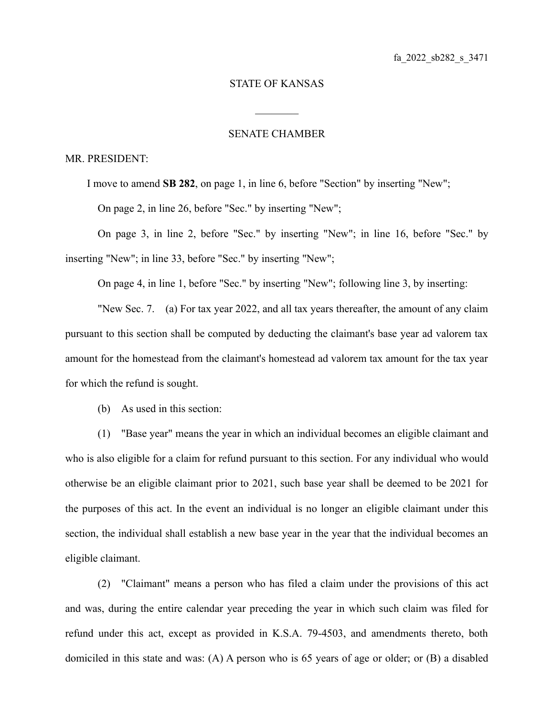## STATE OF KANSAS

 $\mathcal{L}_\text{max}$ 

## SENATE CHAMBER

## MR. PRESIDENT:

I move to amend **SB 282**, on page 1, in line 6, before "Section" by inserting "New";

On page 2, in line 26, before "Sec." by inserting "New";

On page 3, in line 2, before "Sec." by inserting "New"; in line 16, before "Sec." by inserting "New"; in line 33, before "Sec." by inserting "New";

On page 4, in line 1, before "Sec." by inserting "New"; following line 3, by inserting:

"New Sec. 7. (a) For tax year 2022, and all tax years thereafter, the amount of any claim pursuant to this section shall be computed by deducting the claimant's base year ad valorem tax amount for the homestead from the claimant's homestead ad valorem tax amount for the tax year for which the refund is sought.

(b) As used in this section:

(1) "Base year" means the year in which an individual becomes an eligible claimant and who is also eligible for a claim for refund pursuant to this section. For any individual who would otherwise be an eligible claimant prior to 2021, such base year shall be deemed to be 2021 for the purposes of this act. In the event an individual is no longer an eligible claimant under this section, the individual shall establish a new base year in the year that the individual becomes an eligible claimant.

(2) "Claimant" means a person who has filed a claim under the provisions of this act and was, during the entire calendar year preceding the year in which such claim was filed for refund under this act, except as provided in K.S.A. 79-4503, and amendments thereto, both domiciled in this state and was: (A) A person who is 65 years of age or older; or (B) a disabled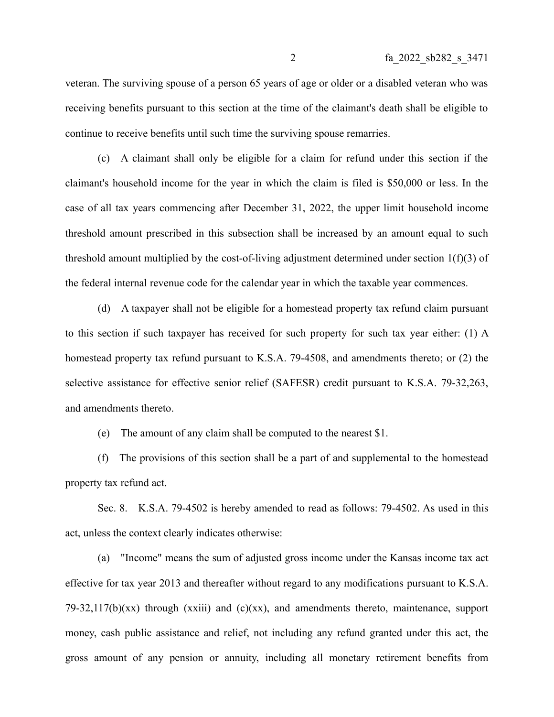veteran. The surviving spouse of a person 65 years of age or older or a disabled veteran who was receiving benefits pursuant to this section at the time of the claimant's death shall be eligible to continue to receive benefits until such time the surviving spouse remarries.

(c) A claimant shall only be eligible for a claim for refund under this section if the claimant's household income for the year in which the claim is filed is \$50,000 or less. In the case of all tax years commencing after December 31, 2022, the upper limit household income threshold amount prescribed in this subsection shall be increased by an amount equal to such threshold amount multiplied by the cost-of-living adjustment determined under section 1(f)(3) of the federal internal revenue code for the calendar year in which the taxable year commences.

(d) A taxpayer shall not be eligible for a homestead property tax refund claim pursuant to this section if such taxpayer has received for such property for such tax year either: (1) A homestead property tax refund pursuant to K.S.A. 79-4508, and amendments thereto; or (2) the selective assistance for effective senior relief (SAFESR) credit pursuant to K.S.A. 79-32,263, and amendments thereto.

(e) The amount of any claim shall be computed to the nearest \$1.

(f) The provisions of this section shall be a part of and supplemental to the homestead property tax refund act.

Sec. 8. K.S.A. 79-4502 is hereby amended to read as follows: 79-4502. As used in this act, unless the context clearly indicates otherwise:

(a) "Income" means the sum of adjusted gross income under the Kansas income tax act effective for tax year 2013 and thereafter without regard to any modifications pursuant to K.S.A. 79-32,117(b)(xx) through (xxiii) and (c)(xx), and amendments thereto, maintenance, support money, cash public assistance and relief, not including any refund granted under this act, the gross amount of any pension or annuity, including all monetary retirement benefits from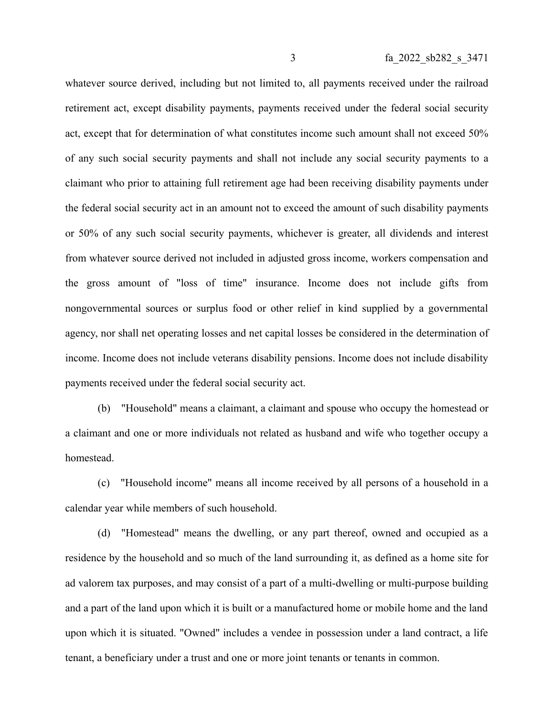whatever source derived, including but not limited to, all payments received under the railroad retirement act, except disability payments, payments received under the federal social security act, except that for determination of what constitutes income such amount shall not exceed 50% of any such social security payments and shall not include any social security payments to a claimant who prior to attaining full retirement age had been receiving disability payments under the federal social security act in an amount not to exceed the amount of such disability payments or 50% of any such social security payments, whichever is greater, all dividends and interest from whatever source derived not included in adjusted gross income, workers compensation and the gross amount of "loss of time" insurance. Income does not include gifts from nongovernmental sources or surplus food or other relief in kind supplied by a governmental agency, nor shall net operating losses and net capital losses be considered in the determination of income. Income does not include veterans disability pensions. Income does not include disability payments received under the federal social security act.

(b) "Household" means a claimant, a claimant and spouse who occupy the homestead or a claimant and one or more individuals not related as husband and wife who together occupy a homestead.

(c) "Household income" means all income received by all persons of a household in a calendar year while members of such household.

(d) "Homestead" means the dwelling, or any part thereof, owned and occupied as a residence by the household and so much of the land surrounding it, as defined as a home site for ad valorem tax purposes, and may consist of a part of a multi-dwelling or multi-purpose building and a part of the land upon which it is built or a manufactured home or mobile home and the land upon which it is situated. "Owned" includes a vendee in possession under a land contract, a life tenant, a beneficiary under a trust and one or more joint tenants or tenants in common.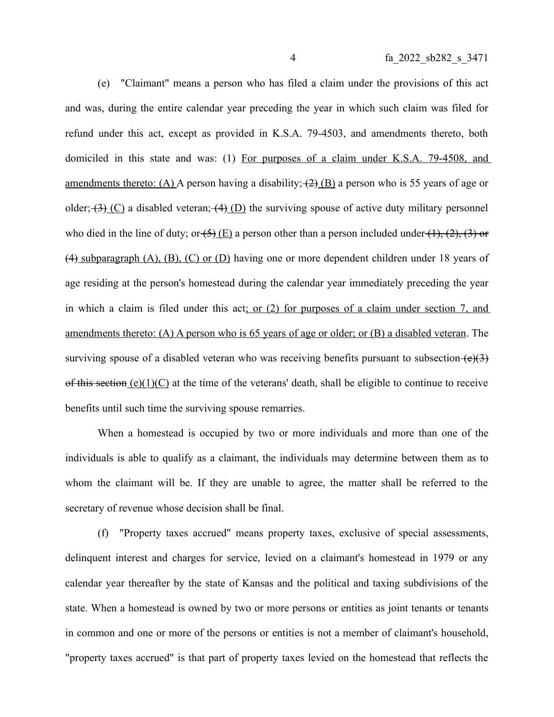(e) "Claimant" means a person who has filed a claim under the provisions of this act and was, during the entire calendar year preceding the year in which such claim was filed for refund under this act, except as provided in K.S.A. 79-4503, and amendments thereto, both domiciled in this state and was: (1) For purposes of a claim under K.S.A. 79-4508, and amendments thereto: (A) A person having a disability;  $(2)$  (B) a person who is 55 years of age or older;  $\left(3\right)$  (C) a disabled veteran;  $\left(4\right)$  (D) the surviving spouse of active duty military personnel who died in the line of duty; or  $(5)(E)$  a person other than a person included under  $(1), (2), (3)$  or (4) subparagraph (A), (B), (C) or (D) having one or more dependent children under 18 years of age residing at the person's homestead during the calendar year immediately preceding the year in which a claim is filed under this act; or (2) for purposes of a claim under section 7, and amendments thereto: (A) A person who is 65 years of age or older; or (B) a disabled veteran. The surviving spouse of a disabled veteran who was receiving benefits pursuant to subsection  $(e)(3)$ of this section  $(e)(1)(C)$  at the time of the veterans' death, shall be eligible to continue to receive benefits until such time the surviving spouse remarries.

When a homestead is occupied by two or more individuals and more than one of the individuals is able to qualify as a claimant, the individuals may determine between them as to whom the claimant will be. If they are unable to agree, the matter shall be referred to the secretary of revenue whose decision shall be final.

(f) "Property taxes accrued" means property taxes, exclusive of special assessments, delinquent interest and charges for service, levied on a claimant's homestead in 1979 or any calendar year thereafter by the state of Kansas and the political and taxing subdivisions of the state. When a homestead is owned by two or more persons or entities as joint tenants or tenants in common and one or more of the persons or entities is not a member of claimant's household, "property taxes accrued" is that part of property taxes levied on the homestead that reflects the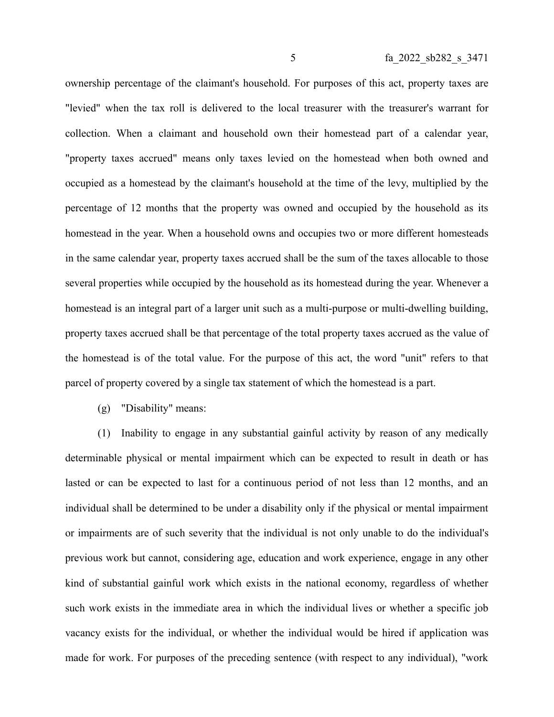ownership percentage of the claimant's household. For purposes of this act, property taxes are "levied" when the tax roll is delivered to the local treasurer with the treasurer's warrant for collection. When a claimant and household own their homestead part of a calendar year, "property taxes accrued" means only taxes levied on the homestead when both owned and occupied as a homestead by the claimant's household at the time of the levy, multiplied by the percentage of 12 months that the property was owned and occupied by the household as its homestead in the year. When a household owns and occupies two or more different homesteads in the same calendar year, property taxes accrued shall be the sum of the taxes allocable to those several properties while occupied by the household as its homestead during the year. Whenever a homestead is an integral part of a larger unit such as a multi-purpose or multi-dwelling building, property taxes accrued shall be that percentage of the total property taxes accrued as the value of the homestead is of the total value. For the purpose of this act, the word "unit" refers to that parcel of property covered by a single tax statement of which the homestead is a part.

(g) "Disability" means:

(1) Inability to engage in any substantial gainful activity by reason of any medically determinable physical or mental impairment which can be expected to result in death or has lasted or can be expected to last for a continuous period of not less than 12 months, and an individual shall be determined to be under a disability only if the physical or mental impairment or impairments are of such severity that the individual is not only unable to do the individual's previous work but cannot, considering age, education and work experience, engage in any other kind of substantial gainful work which exists in the national economy, regardless of whether such work exists in the immediate area in which the individual lives or whether a specific job vacancy exists for the individual, or whether the individual would be hired if application was made for work. For purposes of the preceding sentence (with respect to any individual), "work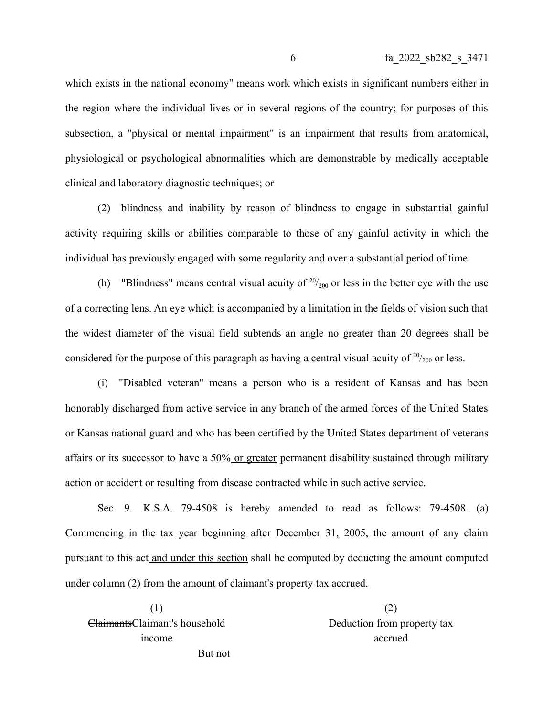which exists in the national economy" means work which exists in significant numbers either in the region where the individual lives or in several regions of the country; for purposes of this subsection, a "physical or mental impairment" is an impairment that results from anatomical, physiological or psychological abnormalities which are demonstrable by medically acceptable clinical and laboratory diagnostic techniques; or

(2) blindness and inability by reason of blindness to engage in substantial gainful activity requiring skills or abilities comparable to those of any gainful activity in which the individual has previously engaged with some regularity and over a substantial period of time.

(h) "Blindness" means central visual acuity of  $20/200$  or less in the better eye with the use of a correcting lens. An eye which is accompanied by a limitation in the fields of vision such that the widest diameter of the visual field subtends an angle no greater than 20 degrees shall be considered for the purpose of this paragraph as having a central visual acuity of  $20/200$  or less.

(i) "Disabled veteran" means a person who is a resident of Kansas and has been honorably discharged from active service in any branch of the armed forces of the United States or Kansas national guard and who has been certified by the United States department of veterans affairs or its successor to have a 50% or greater permanent disability sustained through military action or accident or resulting from disease contracted while in such active service.

Sec. 9. K.S.A. 79-4508 is hereby amended to read as follows: 79-4508. (a) Commencing in the tax year beginning after December 31, 2005, the amount of any claim pursuant to this act and under this section shall be computed by deducting the amount computed under column (2) from the amount of claimant's property tax accrued.

 $(1)$  (2) ClaimantsClaimant's household Deduction from property tax income accrued But not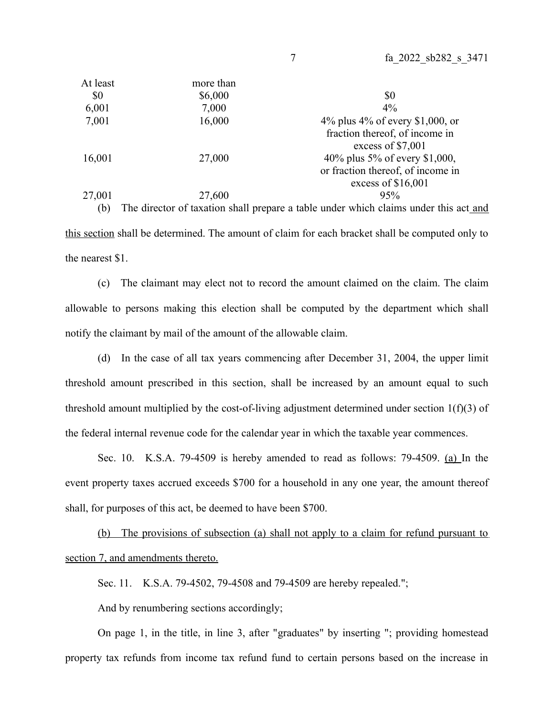| At least | more than                                                                            |                                   |
|----------|--------------------------------------------------------------------------------------|-----------------------------------|
| \$0      | \$6,000                                                                              | \$0                               |
| 6,001    | 7,000                                                                                | $4\%$                             |
| 7,001    | 16,000                                                                               | 4\% plus 4\% of every \$1,000, or |
|          |                                                                                      | fraction thereof, of income in    |
|          |                                                                                      | excess of $$7,001$                |
| 16,001   | 27,000                                                                               | 40% plus 5% of every \$1,000,     |
|          |                                                                                      | or fraction thereof, of income in |
|          |                                                                                      | excess of $$16,001$               |
| 27,001   | 27,600                                                                               | 95%                               |
| (b)      | The director of taxation shall prepare a table under which claims under this act and |                                   |

this section shall be determined. The amount of claim for each bracket shall be computed only to the nearest \$1.

(c) The claimant may elect not to record the amount claimed on the claim. The claim allowable to persons making this election shall be computed by the department which shall notify the claimant by mail of the amount of the allowable claim.

(d) In the case of all tax years commencing after December 31, 2004, the upper limit threshold amount prescribed in this section, shall be increased by an amount equal to such threshold amount multiplied by the cost-of-living adjustment determined under section 1(f)(3) of the federal internal revenue code for the calendar year in which the taxable year commences.

Sec. 10. K.S.A. 79-4509 is hereby amended to read as follows: 79-4509. (a) In the event property taxes accrued exceeds \$700 for a household in any one year, the amount thereof shall, for purposes of this act, be deemed to have been \$700.

(b) The provisions of subsection (a) shall not apply to a claim for refund pursuant to section 7, and amendments thereto.

Sec. 11. K.S.A. 79-4502, 79-4508 and 79-4509 are hereby repealed.";

And by renumbering sections accordingly;

On page 1, in the title, in line 3, after "graduates" by inserting "; providing homestead property tax refunds from income tax refund fund to certain persons based on the increase in